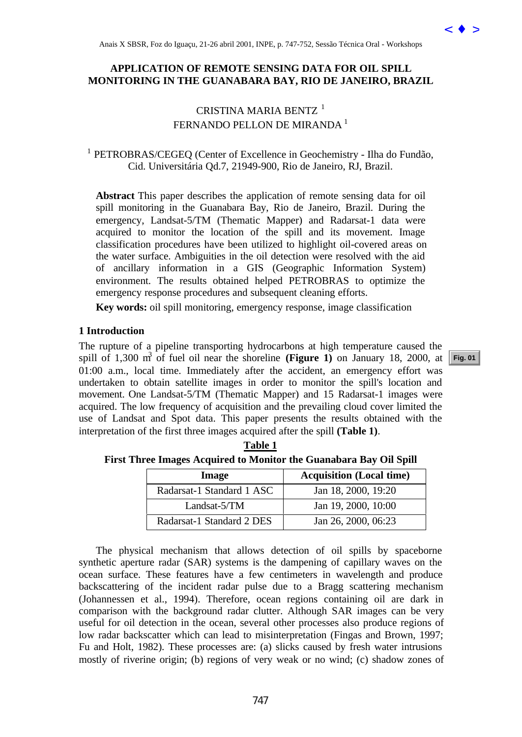## **APPLICATION OF REMOTE SENSING DATA FOR OIL SPILL MONITORING IN THE GUANABARA BAY, RIO DE JANEIRO, BRAZIL**

# CRISTINA MARIA BENTZ<sup>1</sup> FERNANDO PELLON DE MIRANDA<sup>1</sup>

## <sup>1</sup> PETROBRAS/CEGEQ (Center of Excellence in Geochemistry - Ilha do Fundão, Cid. Universitária Qd.7, 21949-900, Rio de Janeiro, RJ, Brazil.

**Abstract** This paper describes the application of remote sensing data for oil spill monitoring in the Guanabara Bay, Rio de Janeiro, Brazil. During the emergency, Landsat-5/TM (Thematic Mapper) and Radarsat-1 data were acquired to monitor the location of the spill and its movement. Image classification procedures have been utilized to highlight oil-covered areas on the water surface. Ambiguities in the oil detection were resolved with the aid of ancillary information in a GIS (Geographic Information System) environment. The results obtained helped PETROBRAS to optimize the emergency response procedures and subsequent cleaning efforts.

**Key words:** oil spill monitoring, emergency response, image classification

## **1 Introduction**

The rupture of a pipeline transporting hydrocarbons at high temperature caused the spill of  $1,300$  m<sup>3</sup> of fuel oil near the shoreline (Figure 1) on January 18, 2000, at 01:00 a.m., local time. Immediately after the accident, an emergency effort was undertaken to obtain satellite images in order to monitor the spill's location and movement. One Landsat-5/TM (Thematic Mapper) and 15 Radarsat-1 images were acquired. The low frequency of acquisition and the prevailing cloud cover limited the use of Landsat and Spot data. This paper presents the results obtained with the interpretation of the first three images acquired after the spill **(Table 1)**.

| First Three Images Acquired to Monitor the Guanabara Bay Oil Spill |                           |                                 |
|--------------------------------------------------------------------|---------------------------|---------------------------------|
|                                                                    | Image                     | <b>Acquisition (Local time)</b> |
|                                                                    | Radarsat-1 Standard 1 ASC | Jan 18, 2000, 19:20             |
|                                                                    | Landsat-5/TM              | Jan 19, 2000, 10:00             |

Radarsat-1 Standard 2 DES Jan 26, 2000, 06:23

**Table 1**

The physical mechanism that allows detection of oil spills by spaceborne synthetic aperture radar (SAR) systems is the dampening of capillary waves on the ocean surface. These features have a few centimeters in wavelength and produce backscattering of the incident radar pulse due to a Bragg scattering mechanism (Johannessen et al., 1994). Therefore, ocean regions containing oil are dark in comparison with the background radar clutter. Although SAR images can be very useful for oil detection in the ocean, several other processes also produce regions of low radar backscatter which can lead to misinterpretation (Fingas and Brown, 1997; Fu and Holt, 1982). These processes are: (a) slicks caused by fresh water intrusions mostly of riverine origin; (b) regions of very weak or no wind; (c) shadow zones of Anais X 858R, For do Ignaçu, 21-26 abril 2001, ISPL<sub[>](goto-/dpi.inpe.br/lise/2001/09.19.12.04)7</sub>, 747-752, Sesue Yestes Ori. Workshop **APPLICATION OF REMATIAE ADVICE CONTINUE CLANNIBARA BAY, RIO DE JANEIRO, DRAZIL CENICION CRISTIC 147-121-211-2121-121-2121-2121-**

**[Fig. 01](#page-3-0)**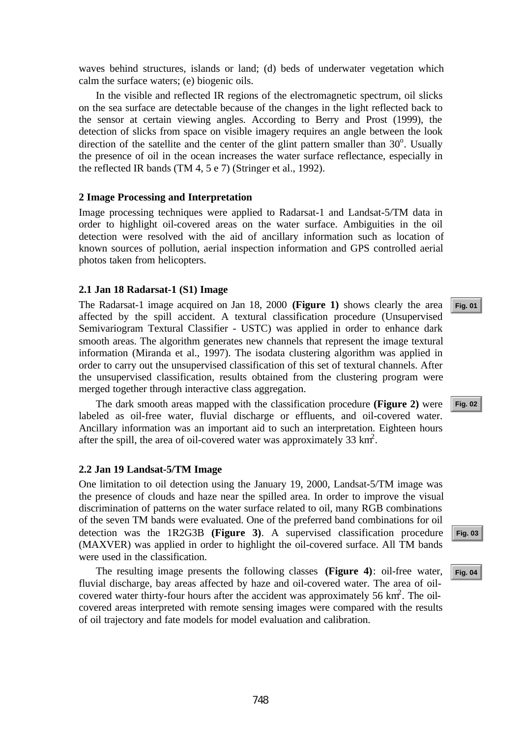waves behind structures, islands or land; (d) beds of underwater vegetation which calm the surface waters; (e) biogenic oils.

In the visible and reflected IR regions of the electromagnetic spectrum, oil slicks on the sea surface are detectable because of the changes in the light reflected back to the sensor at certain viewing angles. According to Berry and Prost (1999), the detection of slicks from space on visible imagery requires an angle between the look direction of the satellite and the center of the glint pattern smaller than  $30^\circ$ . Usually the presence of oil in the ocean increases the water surface reflectance, especially in the reflected IR bands (TM 4, 5 e 7) (Stringer et al., 1992).

#### **2 Image Processing and Interpretation**

Image processing techniques were applied to Radarsat-1 and Landsat-5/TM data in order to highlight oil-covered areas on the water surface. Ambiguities in the oil detection were resolved with the aid of ancillary information such as location of known sources of pollution, aerial inspection information and GPS controlled aerial photos taken from helicopters.

## **2.1 Jan 18 Radarsat-1 (S1) Image**

The Radarsat-1 image acquired on Jan 18, 2000 **(Figure 1)** shows clearly the area affected by the spill accident. A textural classification procedure (Unsupervised Semivariogram Textural Classifier - USTC) was applied in order to enhance dark smooth areas. The algorithm generates new channels that represent the image textural information (Miranda et al., 1997). The isodata clustering algorithm was applied in order to carry out the unsupervised classification of this set of textural channels. After the unsupervised classification, results obtained from the clustering program were merged together through interactive class aggregation.

The dark smooth areas mapped with the classification procedure **(Figure 2)** were labeled as oil-free water, fluvial discharge or effluents, and oil-covered water. Ancillary information was an important aid to such an interpretation. Eighteen hours after the spill, the area of oil-covered water was approximately 33 km<sup>2</sup>.

#### **2.2 Jan 19 Landsat-5/TM Image**

One limitation to oil detection using the January 19, 2000, Landsat-5/TM image was the presence of clouds and haze near the spilled area. In order to improve the visual discrimination of patterns on the water surface related to oil, many RGB combinations of the seven TM bands were evaluated. One of the preferred band combinations for oil detection was the 1R2G3B **(Figure 3)**. A supervised classification procedure (MAXVER) was applied in order to highlight the oil-covered surface. All TM bands were used in the classification.

The resulting image presents the following classes **(Figure 4)**: oil-free water, fluvial discharge, bay areas affected by haze and oil-covered water. The area of oilcovered water thirty-four hours after the accident was approximately 56  $\text{km}^2$ . The oilcovered areas interpreted with remote sensing images were compared with the results of oil trajectory and fate models for model evaluation and calibration.

**[Fig. 01](#page-3-0)**

#### **[Fig. 02](#page-3-0)**

**[Fig. 04](#page-4-0)**

**[Fig. 03](#page-4-0)**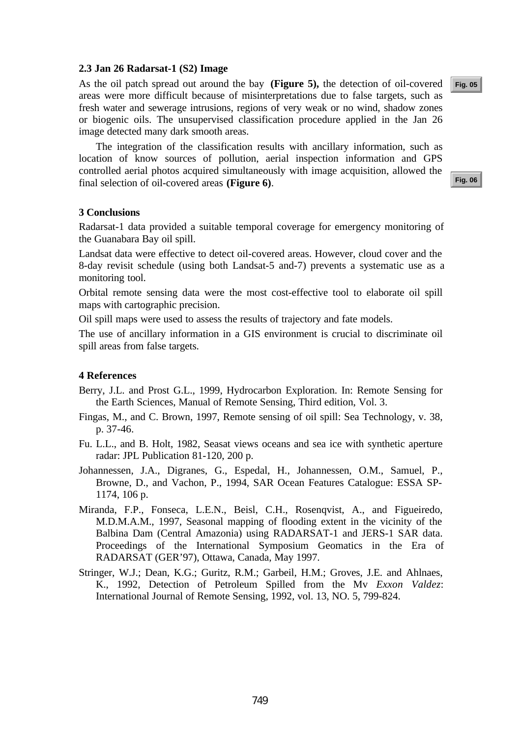#### **2.3 Jan 26 Radarsat-1 (S2) Image**

As the oil patch spread out around the bay **(Figure 5),** the detection of oil-covered areas were more difficult because of misinterpretations due to false targets, such as fresh water and sewerage intrusions, regions of very weak or no wind, shadow zones or biogenic oils. The unsupervised classification procedure applied in the Jan 26 image detected many dark smooth areas.

The integration of the classification results with ancillary information, such as location of know sources of pollution, aerial inspection information and GPS controlled aerial photos acquired simultaneously with image acquisition, allowed the final selection of oil-covered areas **(Figure 6)**.

**3 Conclusions**

Radarsat-1 data provided a suitable temporal coverage for emergency monitoring of the Guanabara Bay oil spill.

Landsat data were effective to detect oil-covered areas. However, cloud cover and the 8-day revisit schedule (using both Landsat-5 and-7) prevents a systematic use as a monitoring tool.

Orbital remote sensing data were the most cost-effective tool to elaborate oil spill maps with cartographic precision.

Oil spill maps were used to assess the results of trajectory and fate models.

The use of ancillary information in a GIS environment is crucial to discriminate oil spill areas from false targets.

#### **4 References**

- Berry, J.L. and Prost G.L., 1999, Hydrocarbon Exploration. In: Remote Sensing for the Earth Sciences, Manual of Remote Sensing, Third edition, Vol. 3.
- Fingas, M., and C. Brown, 1997, Remote sensing of oil spill: Sea Technology, v. 38, p. 37-46.
- Fu. L.L., and B. Holt, 1982, Seasat views oceans and sea ice with synthetic aperture radar: JPL Publication 81-120, 200 p.
- Johannessen, J.A., Digranes, G., Espedal, H., Johannessen, O.M., Samuel, P., Browne, D., and Vachon, P., 1994, SAR Ocean Features Catalogue: ESSA SP-1174, 106 p.
- Miranda, F.P., Fonseca, L.E.N., Beisl, C.H., Rosenqvist, A., and Figueiredo, M.D.M.A.M., 1997, Seasonal mapping of flooding extent in the vicinity of the Balbina Dam (Central Amazonia) using RADARSAT-1 and JERS-1 SAR data. Proceedings of the International Symposium Geomatics in the Era of RADARSAT (GER'97), Ottawa, Canada, May 1997.
- Stringer, W.J.; Dean, K.G.; Guritz, R.M.; Garbeil, H.M.; Groves, J.E. and Ahlnaes, K., 1992, Detection of Petroleum Spilled from the Mv *Exxon Valdez*: International Journal of Remote Sensing, 1992, vol. 13, NO. 5, 799-824.

**[Fig. 06](#page-5-0)**

**[Fig. 05](#page-5-0)**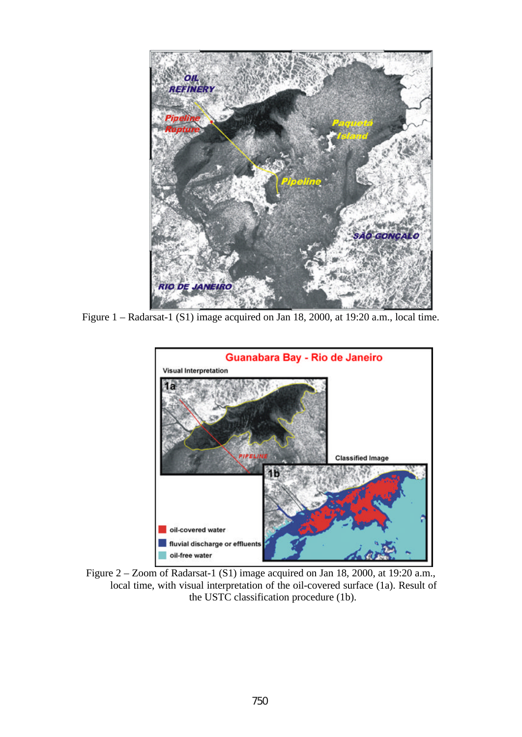<span id="page-3-0"></span>

Figure 1 – Radarsat-1 (S1) image acquired on Jan 18, 2000, at 19:20 a.m., local time.



Figure 2 – Zoom of Radarsat-1 (S1) image acquired on Jan 18, 2000, at 19:20 a.m., local time, with visual interpretation of the oil-covered surface (1a). Result of the USTC classification procedure (1b).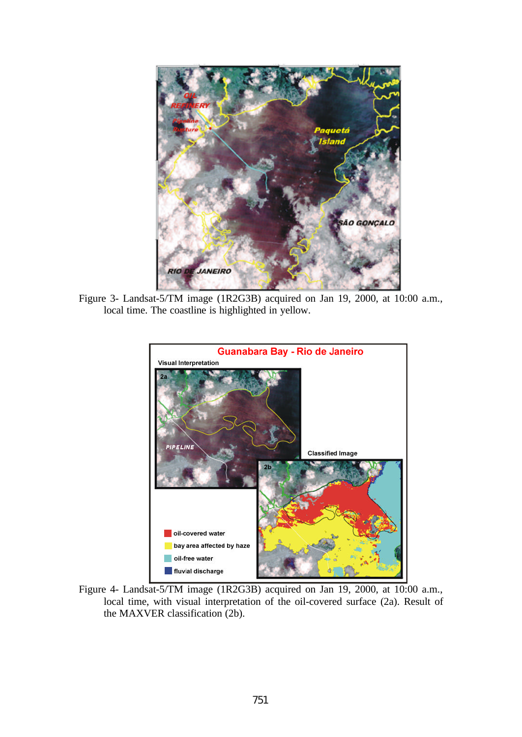<span id="page-4-0"></span>

Figure 3- Landsat-5/TM image (1R2G3B) acquired on Jan 19, 2000, at 10:00 a.m., local time. The coastline is highlighted in yellow.



Figure 4- Landsat-5/TM image (1R2G3B) acquired on Jan 19, 2000, at 10:00 a.m., local time, with visual interpretation of the oil-covered surface (2a). Result of the MAXVER classification (2b).